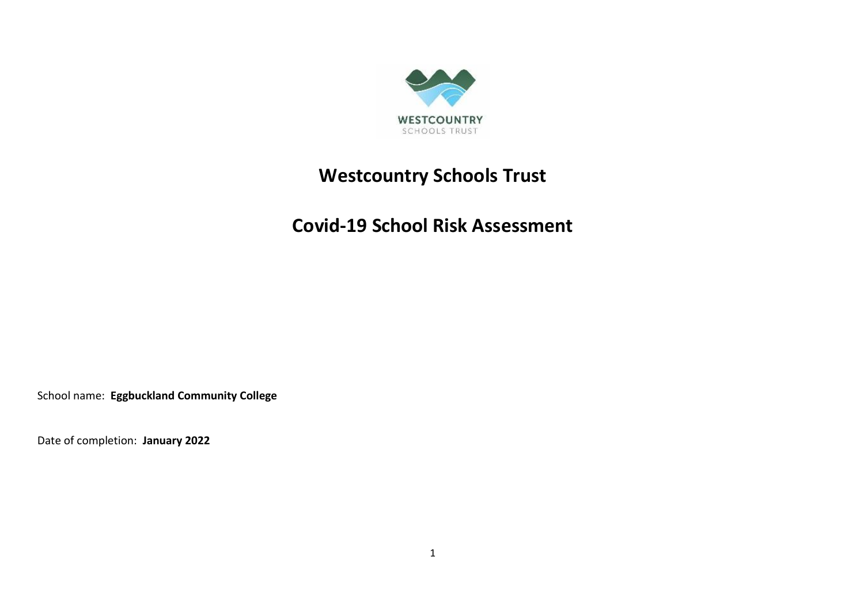

# **Westcountry Schools Trust**

## **Covid-19 School Risk Assessment**

School name: **Eggbuckland Community College**

Date of completion: **January 2022**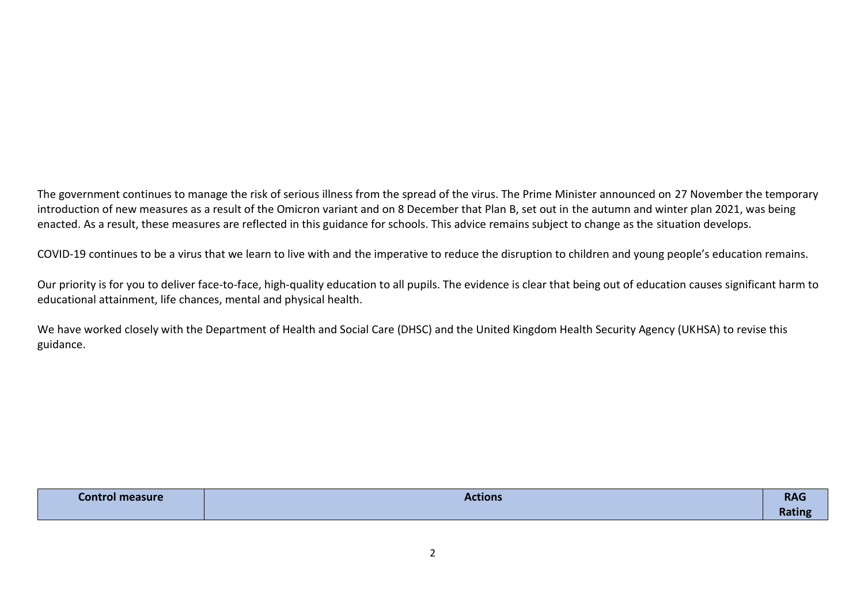The government continues to manage the risk of serious illness from the spread of the virus. The Prime Minister announced on 27 November the temporary introduction of new measures as a result of the Omicron variant and on 8 December that Plan B, set out in the autumn and winter plan 2021, was being enacted. As a result, these measures are reflected in this guidance for schools. This advice remains subject to change as the situation develops.

COVID-19 continues to be a virus that we learn to live with and the imperative to reduce the disruption to children and young people's education remains.

Our priority is for you to deliver face-to-face, high-quality education to all pupils. The evidence is clear that being out of education causes significant harm to educational attainment, life chances, mental and physical health.

We have worked closely with the Department of Health and Social Care (DHSC) and the United Kingdom Health Security Agency (UKHSA) to revise this guidance.

| <b>Control measure</b><br>_____ | <b>Actions</b> | <b>RAG</b> |
|---------------------------------|----------------|------------|
|                                 |                | Rating     |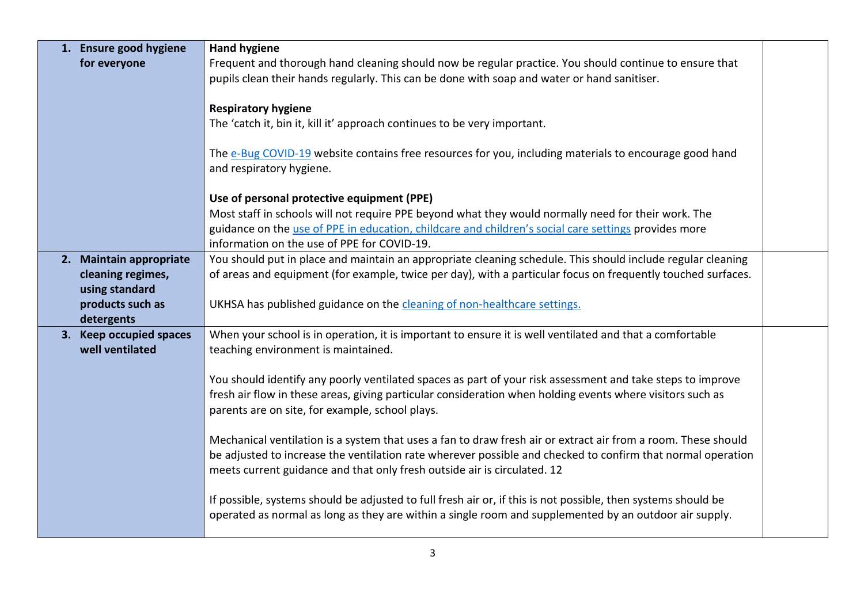| 1. Ensure good hygiene  | <b>Hand hygiene</b>                                                                                           |  |
|-------------------------|---------------------------------------------------------------------------------------------------------------|--|
| for everyone            | Frequent and thorough hand cleaning should now be regular practice. You should continue to ensure that        |  |
|                         | pupils clean their hands regularly. This can be done with soap and water or hand sanitiser.                   |  |
|                         |                                                                                                               |  |
|                         | <b>Respiratory hygiene</b>                                                                                    |  |
|                         | The 'catch it, bin it, kill it' approach continues to be very important.                                      |  |
|                         |                                                                                                               |  |
|                         | The e-Bug COVID-19 website contains free resources for you, including materials to encourage good hand        |  |
|                         | and respiratory hygiene.                                                                                      |  |
|                         |                                                                                                               |  |
|                         | Use of personal protective equipment (PPE)                                                                    |  |
|                         | Most staff in schools will not require PPE beyond what they would normally need for their work. The           |  |
|                         | guidance on the use of PPE in education, childcare and children's social care settings provides more          |  |
|                         | information on the use of PPE for COVID-19.                                                                   |  |
| 2. Maintain appropriate | You should put in place and maintain an appropriate cleaning schedule. This should include regular cleaning   |  |
| cleaning regimes,       | of areas and equipment (for example, twice per day), with a particular focus on frequently touched surfaces.  |  |
| using standard          |                                                                                                               |  |
| products such as        | UKHSA has published guidance on the cleaning of non-healthcare settings.                                      |  |
| detergents              |                                                                                                               |  |
| 3. Keep occupied spaces | When your school is in operation, it is important to ensure it is well ventilated and that a comfortable      |  |
| well ventilated         | teaching environment is maintained.                                                                           |  |
|                         |                                                                                                               |  |
|                         | You should identify any poorly ventilated spaces as part of your risk assessment and take steps to improve    |  |
|                         | fresh air flow in these areas, giving particular consideration when holding events where visitors such as     |  |
|                         | parents are on site, for example, school plays.                                                               |  |
|                         | Mechanical ventilation is a system that uses a fan to draw fresh air or extract air from a room. These should |  |
|                         | be adjusted to increase the ventilation rate wherever possible and checked to confirm that normal operation   |  |
|                         | meets current guidance and that only fresh outside air is circulated. 12                                      |  |
|                         |                                                                                                               |  |
|                         | If possible, systems should be adjusted to full fresh air or, if this is not possible, then systems should be |  |
|                         | operated as normal as long as they are within a single room and supplemented by an outdoor air supply.        |  |
|                         |                                                                                                               |  |
|                         |                                                                                                               |  |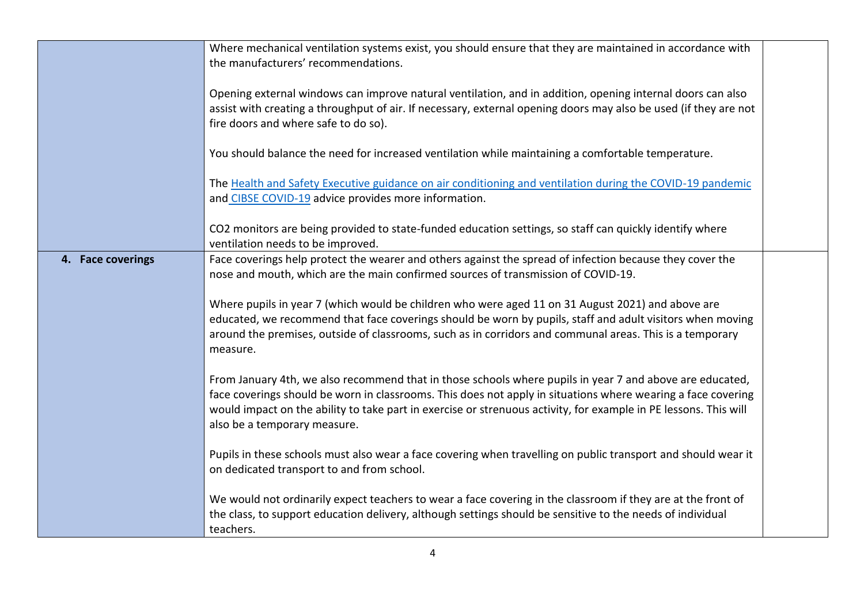|                   | Where mechanical ventilation systems exist, you should ensure that they are maintained in accordance with<br>the manufacturers' recommendations.                                                                                                                                                                                                                             |
|-------------------|------------------------------------------------------------------------------------------------------------------------------------------------------------------------------------------------------------------------------------------------------------------------------------------------------------------------------------------------------------------------------|
|                   | Opening external windows can improve natural ventilation, and in addition, opening internal doors can also<br>assist with creating a throughput of air. If necessary, external opening doors may also be used (if they are not<br>fire doors and where safe to do so).                                                                                                       |
|                   | You should balance the need for increased ventilation while maintaining a comfortable temperature.                                                                                                                                                                                                                                                                           |
|                   | The Health and Safety Executive guidance on air conditioning and ventilation during the COVID-19 pandemic<br>and CIBSE COVID-19 advice provides more information.                                                                                                                                                                                                            |
|                   | CO2 monitors are being provided to state-funded education settings, so staff can quickly identify where<br>ventilation needs to be improved.                                                                                                                                                                                                                                 |
| 4. Face coverings | Face coverings help protect the wearer and others against the spread of infection because they cover the<br>nose and mouth, which are the main confirmed sources of transmission of COVID-19.                                                                                                                                                                                |
|                   | Where pupils in year 7 (which would be children who were aged 11 on 31 August 2021) and above are<br>educated, we recommend that face coverings should be worn by pupils, staff and adult visitors when moving<br>around the premises, outside of classrooms, such as in corridors and communal areas. This is a temporary<br>measure.                                       |
|                   | From January 4th, we also recommend that in those schools where pupils in year 7 and above are educated,<br>face coverings should be worn in classrooms. This does not apply in situations where wearing a face covering<br>would impact on the ability to take part in exercise or strenuous activity, for example in PE lessons. This will<br>also be a temporary measure. |
|                   | Pupils in these schools must also wear a face covering when travelling on public transport and should wear it<br>on dedicated transport to and from school.                                                                                                                                                                                                                  |
|                   | We would not ordinarily expect teachers to wear a face covering in the classroom if they are at the front of<br>the class, to support education delivery, although settings should be sensitive to the needs of individual<br>teachers.                                                                                                                                      |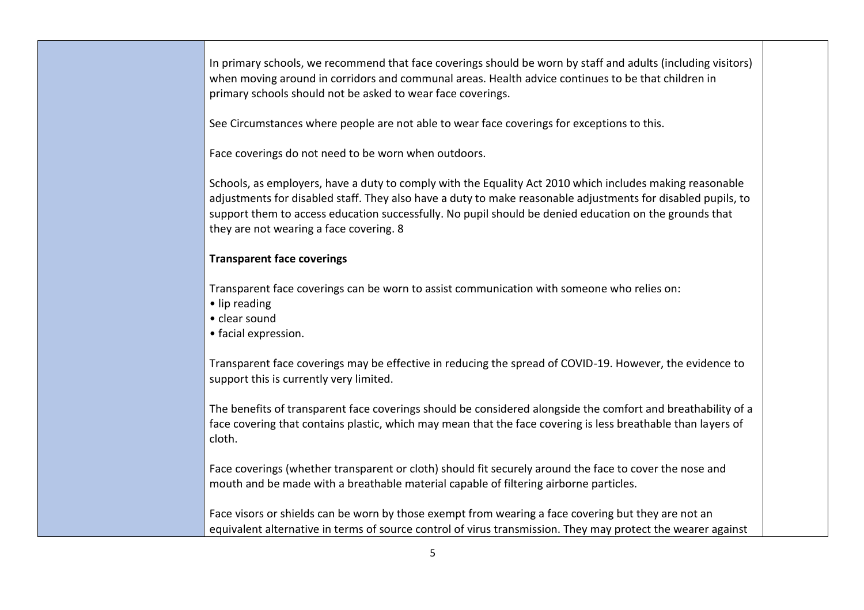In primary schools, we recommend that face coverings should be worn by staff and adults (including visitors) when moving around in corridors and communal areas. Health advice continues to be that children in primary schools should not be asked to wear face coverings.

See Circumstances where people are not able to wear face coverings for exceptions to this.

Face coverings do not need to be worn when outdoors.

Schools, as employers, have a duty to comply with the Equality Act 2010 which includes making reasonable adjustments for disabled staff. They also have a duty to make reasonable adjustments for disabled pupils, to support them to access education successfully. No pupil should be denied education on the grounds that they are not wearing a face covering. 8

#### **Transparent face coverings**

Transparent face coverings can be worn to assist communication with someone who relies on:

- lip reading
- clear sound
- facial expression.

Transparent face coverings may be effective in reducing the spread of COVID-19. However, the evidence to support this is currently very limited.

The benefits of transparent face coverings should be considered alongside the comfort and breathability of a face covering that contains plastic, which may mean that the face covering is less breathable than layers of cloth.

Face coverings (whether transparent or cloth) should fit securely around the face to cover the nose and mouth and be made with a breathable material capable of filtering airborne particles.

Face visors or shields can be worn by those exempt from wearing a face covering but they are not an equivalent alternative in terms of source control of virus transmission. They may protect the wearer against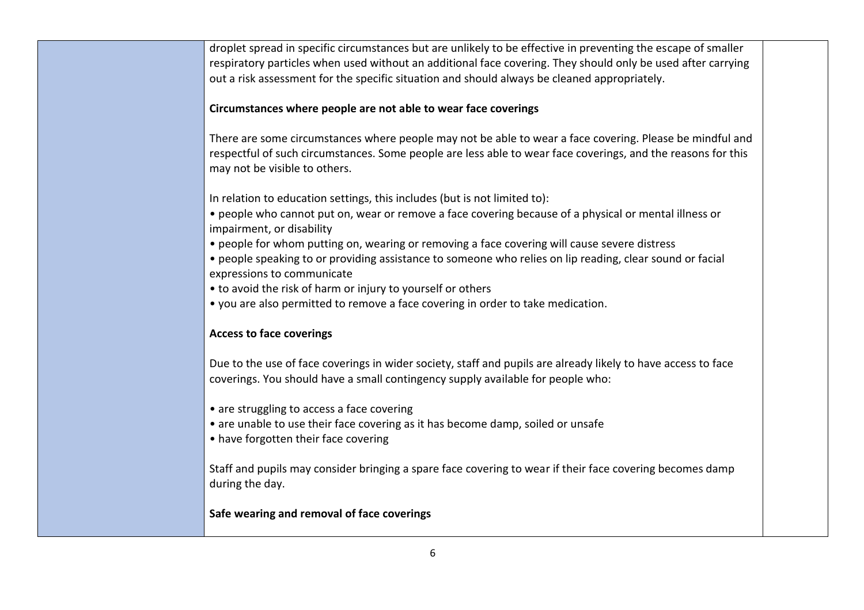droplet spread in specific circumstances but are unlikely to be effective in preventing the escape of smaller respiratory particles when used without an additional face covering. They should only be used after carrying out a risk assessment for the specific situation and should always be cleaned appropriately.

#### **Circumstances where people are not able to wear face coverings**

There are some circumstances where people may not be able to wear a face covering. Please be mindful and respectful of such circumstances. Some people are less able to wear face coverings, and the reasons for this may not be visible to others.

In relation to education settings, this includes (but is not limited to):

- people who cannot put on, wear or remove a face covering because of a physical or mental illness or impairment, or disability
- people for whom putting on, wearing or removing a face covering will cause severe distress
- people speaking to or providing assistance to someone who relies on lip reading, clear sound or facial expressions to communicate
- to avoid the risk of harm or injury to yourself or others
- you are also permitted to remove a face covering in order to take medication.

#### **Access to face coverings**

Due to the use of face coverings in wider society, staff and pupils are already likely to have access to face coverings. You should have a small contingency supply available for people who:

- are struggling to access a face covering
- are unable to use their face covering as it has become damp, soiled or unsafe
- have forgotten their face covering

Staff and pupils may consider bringing a spare face covering to wear if their face covering becomes damp during the day.

### **Safe wearing and removal of face coverings**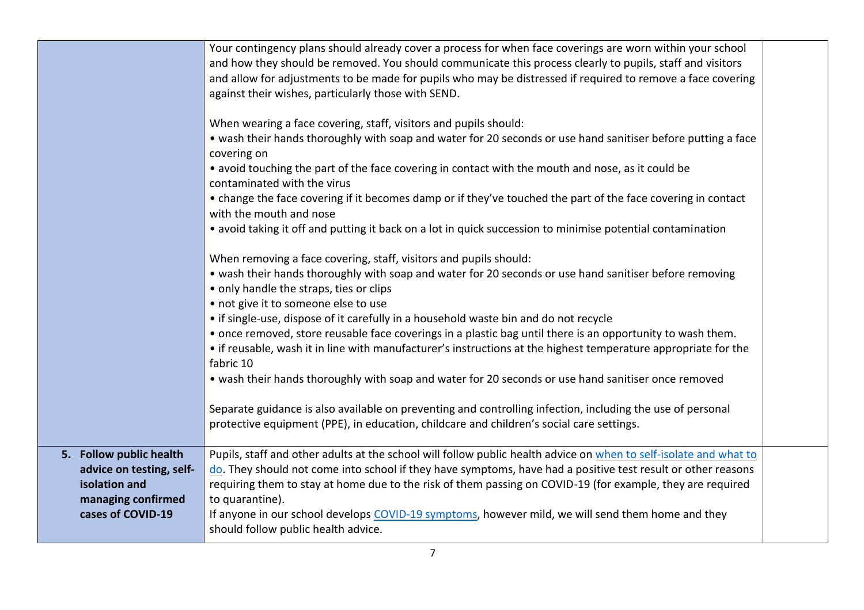|                                                                                                                 | Your contingency plans should already cover a process for when face coverings are worn within your school<br>and how they should be removed. You should communicate this process clearly to pupils, staff and visitors<br>and allow for adjustments to be made for pupils who may be distressed if required to remove a face covering<br>against their wishes, particularly those with SEND.<br>When wearing a face covering, staff, visitors and pupils should:<br>• wash their hands thoroughly with soap and water for 20 seconds or use hand sanitiser before putting a face<br>covering on<br>• avoid touching the part of the face covering in contact with the mouth and nose, as it could be<br>contaminated with the virus<br>• change the face covering if it becomes damp or if they've touched the part of the face covering in contact<br>with the mouth and nose<br>• avoid taking it off and putting it back on a lot in quick succession to minimise potential contamination<br>When removing a face covering, staff, visitors and pupils should:<br>• wash their hands thoroughly with soap and water for 20 seconds or use hand sanitiser before removing<br>• only handle the straps, ties or clips<br>• not give it to someone else to use<br>• if single-use, dispose of it carefully in a household waste bin and do not recycle<br>• once removed, store reusable face coverings in a plastic bag until there is an opportunity to wash them.<br>• if reusable, wash it in line with manufacturer's instructions at the highest temperature appropriate for the<br>fabric 10<br>• wash their hands thoroughly with soap and water for 20 seconds or use hand sanitiser once removed<br>Separate guidance is also available on preventing and controlling infection, including the use of personal |  |
|-----------------------------------------------------------------------------------------------------------------|--------------------------------------------------------------------------------------------------------------------------------------------------------------------------------------------------------------------------------------------------------------------------------------------------------------------------------------------------------------------------------------------------------------------------------------------------------------------------------------------------------------------------------------------------------------------------------------------------------------------------------------------------------------------------------------------------------------------------------------------------------------------------------------------------------------------------------------------------------------------------------------------------------------------------------------------------------------------------------------------------------------------------------------------------------------------------------------------------------------------------------------------------------------------------------------------------------------------------------------------------------------------------------------------------------------------------------------------------------------------------------------------------------------------------------------------------------------------------------------------------------------------------------------------------------------------------------------------------------------------------------------------------------------------------------------------------------------------------------------------------------------------------------------------------------------------------|--|
|                                                                                                                 | protective equipment (PPE), in education, childcare and children's social care settings.                                                                                                                                                                                                                                                                                                                                                                                                                                                                                                                                                                                                                                                                                                                                                                                                                                                                                                                                                                                                                                                                                                                                                                                                                                                                                                                                                                                                                                                                                                                                                                                                                                                                                                                                 |  |
| 5. Follow public health<br>advice on testing, self-<br>isolation and<br>managing confirmed<br>cases of COVID-19 | Pupils, staff and other adults at the school will follow public health advice on when to self-isolate and what to<br>do. They should not come into school if they have symptoms, have had a positive test result or other reasons<br>requiring them to stay at home due to the risk of them passing on COVID-19 (for example, they are required<br>to quarantine).<br>If anyone in our school develops COVID-19 symptoms, however mild, we will send them home and they<br>should follow public health advice.                                                                                                                                                                                                                                                                                                                                                                                                                                                                                                                                                                                                                                                                                                                                                                                                                                                                                                                                                                                                                                                                                                                                                                                                                                                                                                           |  |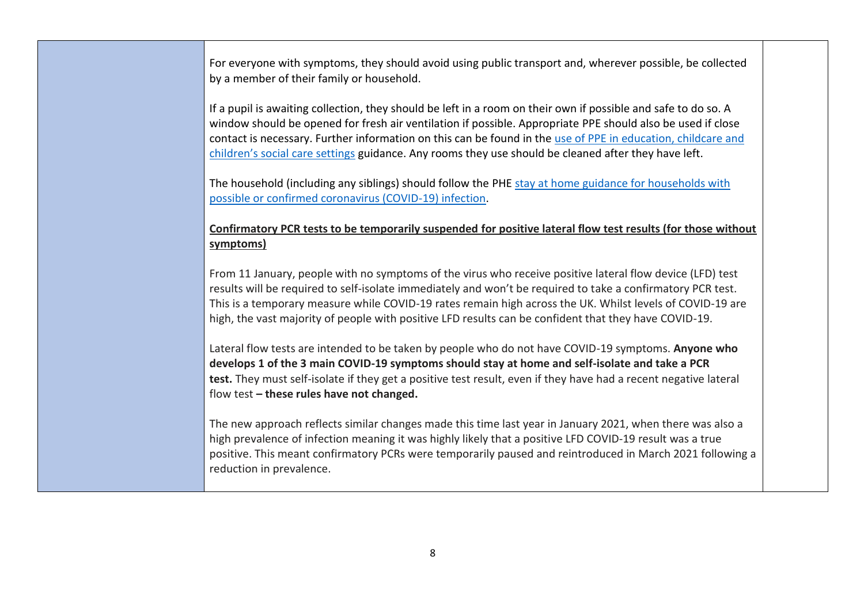For everyone with symptoms, they should avoid using public transport and, wherever possible, be collected by a member of their family or household.

If a pupil is awaiting collection, they should be left in a room on their own if possible and safe to do so. A window should be opened for fresh air ventilation if possible. Appropriate PPE should also be used if close contact is necessary. Further information on this can be found in the use of PPE [in education, childcare and](https://www.gov.uk/government/publications/safe-working-in-education-childcare-and-childrens-social-care)  [children's social care settings](https://www.gov.uk/government/publications/safe-working-in-education-childcare-and-childrens-social-care) guidance. Any rooms they use should be cleaned after they have left.

The household (including any siblings) should follow the PHE [stay at home guidance for households with](https://www.gov.uk/government/publications/covid-19-stay-at-home-guidance/stay-at-home-guidance-for-households-with-possible-coronavirus-covid-19-infection)  [possible or confirmed coronavirus \(COVID-19\) infection.](https://www.gov.uk/government/publications/covid-19-stay-at-home-guidance/stay-at-home-guidance-for-households-with-possible-coronavirus-covid-19-infection)

#### **Confirmatory PCR tests to be temporarily suspended for positive lateral flow test results (for those without symptoms)**

From 11 January, people with no symptoms of the virus who receive positive lateral flow device (LFD) test results will be required to self-isolate immediately and won't be required to take a confirmatory PCR test. This is a temporary measure while COVID-19 rates remain high across the UK. Whilst levels of COVID-19 are high, the vast majority of people with positive LFD results can be confident that they have COVID-19.

Lateral flow tests are intended to be taken by people who do not have COVID-19 symptoms. **Anyone who develops 1 of the 3 main COVID-19 symptoms should stay at home and self-isolate and take a PCR test.** They must self-isolate if they get a positive test result, even if they have had a recent negative lateral flow test **– these rules have not changed.**

The new approach reflects similar changes made this time last year in January 2021, when there was also a high prevalence of infection meaning it was highly likely that a positive LFD COVID-19 result was a true positive. This meant confirmatory PCRs were temporarily paused and reintroduced in March 2021 following a reduction in prevalence.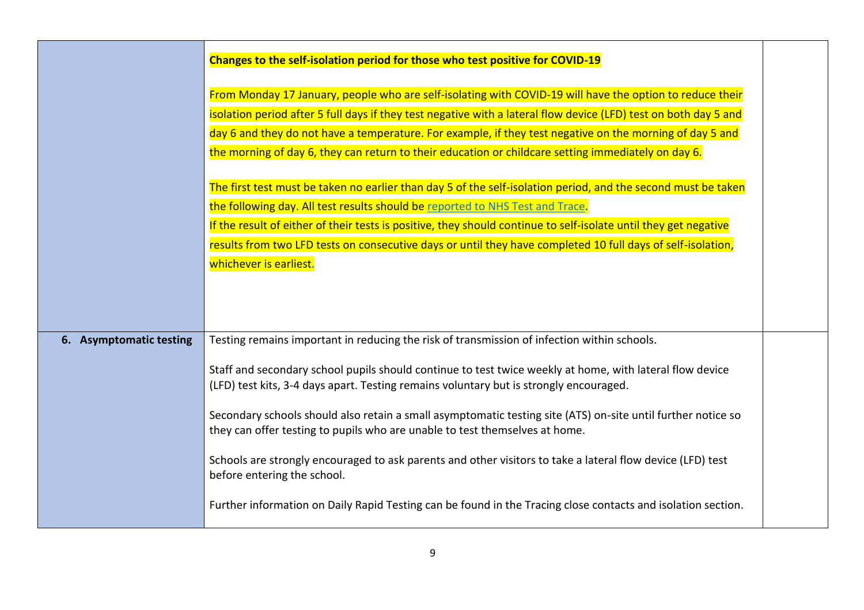|                         | Changes to the self-isolation period for those who test positive for COVID-19                                                                                                                                                                                                                                                                                                                                                                                                                                                                                                                                                                 |  |
|-------------------------|-----------------------------------------------------------------------------------------------------------------------------------------------------------------------------------------------------------------------------------------------------------------------------------------------------------------------------------------------------------------------------------------------------------------------------------------------------------------------------------------------------------------------------------------------------------------------------------------------------------------------------------------------|--|
|                         | From Monday 17 January, people who are self-isolating with COVID-19 will have the option to reduce their<br>isolation period after 5 full days if they test negative with a lateral flow device (LFD) test on both day 5 and<br>day 6 and they do not have a temperature. For example, if they test negative on the morning of day 5 and<br>the morning of day 6, they can return to their education or childcare setting immediately on day 6.                                                                                                                                                                                               |  |
|                         | The first test must be taken no earlier than day 5 of the self-isolation period, and the second must be taken<br>the following day. All test results should be reported to NHS Test and Trace.<br>If the result of either of their tests is positive, they should continue to self-isolate until they get negative<br>results from two LFD tests on consecutive days or until they have completed 10 full days of self-isolation,<br>whichever is earliest.                                                                                                                                                                                   |  |
| 6. Asymptomatic testing | Testing remains important in reducing the risk of transmission of infection within schools.<br>Staff and secondary school pupils should continue to test twice weekly at home, with lateral flow device<br>(LFD) test kits, 3-4 days apart. Testing remains voluntary but is strongly encouraged.<br>Secondary schools should also retain a small asymptomatic testing site (ATS) on-site until further notice so<br>they can offer testing to pupils who are unable to test themselves at home.<br>Schools are strongly encouraged to ask parents and other visitors to take a lateral flow device (LFD) test<br>before entering the school. |  |
|                         | Further information on Daily Rapid Testing can be found in the Tracing close contacts and isolation section.                                                                                                                                                                                                                                                                                                                                                                                                                                                                                                                                  |  |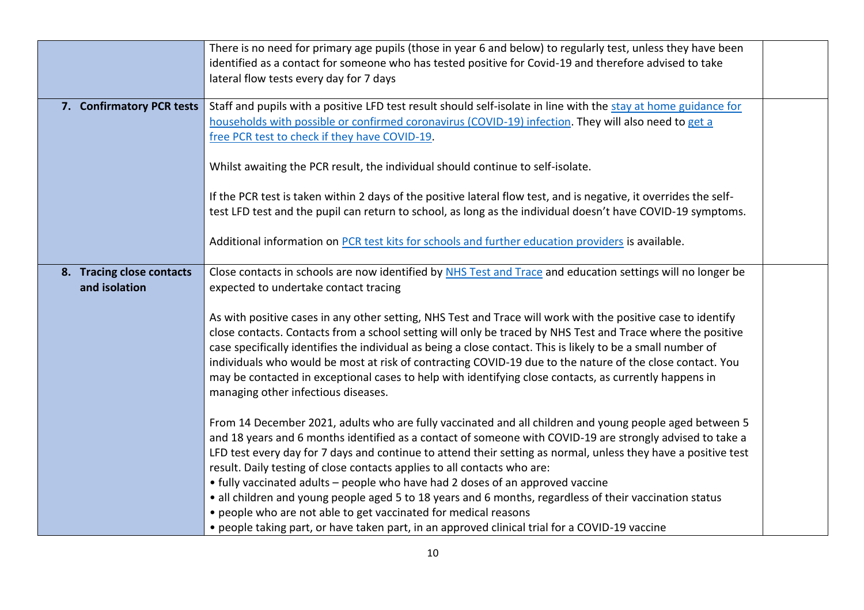|                                            | There is no need for primary age pupils (those in year 6 and below) to regularly test, unless they have been<br>identified as a contact for someone who has tested positive for Covid-19 and therefore advised to take<br>lateral flow tests every day for 7 days                                                                                                                                                                                                                                                                                                                                         |  |
|--------------------------------------------|-----------------------------------------------------------------------------------------------------------------------------------------------------------------------------------------------------------------------------------------------------------------------------------------------------------------------------------------------------------------------------------------------------------------------------------------------------------------------------------------------------------------------------------------------------------------------------------------------------------|--|
| 7. Confirmatory PCR tests                  | Staff and pupils with a positive LFD test result should self-isolate in line with the stay at home guidance for<br>households with possible or confirmed coronavirus (COVID-19) infection. They will also need to get a<br>free PCR test to check if they have COVID-19.                                                                                                                                                                                                                                                                                                                                  |  |
|                                            | Whilst awaiting the PCR result, the individual should continue to self-isolate.                                                                                                                                                                                                                                                                                                                                                                                                                                                                                                                           |  |
|                                            | If the PCR test is taken within 2 days of the positive lateral flow test, and is negative, it overrides the self-<br>test LFD test and the pupil can return to school, as long as the individual doesn't have COVID-19 symptoms.                                                                                                                                                                                                                                                                                                                                                                          |  |
|                                            | Additional information on PCR test kits for schools and further education providers is available.                                                                                                                                                                                                                                                                                                                                                                                                                                                                                                         |  |
| 8. Tracing close contacts<br>and isolation | Close contacts in schools are now identified by NHS Test and Trace and education settings will no longer be<br>expected to undertake contact tracing                                                                                                                                                                                                                                                                                                                                                                                                                                                      |  |
|                                            | As with positive cases in any other setting, NHS Test and Trace will work with the positive case to identify<br>close contacts. Contacts from a school setting will only be traced by NHS Test and Trace where the positive<br>case specifically identifies the individual as being a close contact. This is likely to be a small number of<br>individuals who would be most at risk of contracting COVID-19 due to the nature of the close contact. You<br>may be contacted in exceptional cases to help with identifying close contacts, as currently happens in<br>managing other infectious diseases. |  |
|                                            | From 14 December 2021, adults who are fully vaccinated and all children and young people aged between 5<br>and 18 years and 6 months identified as a contact of someone with COVID-19 are strongly advised to take a<br>LFD test every day for 7 days and continue to attend their setting as normal, unless they have a positive test<br>result. Daily testing of close contacts applies to all contacts who are:                                                                                                                                                                                        |  |
|                                            | • fully vaccinated adults - people who have had 2 doses of an approved vaccine<br>• all children and young people aged 5 to 18 years and 6 months, regardless of their vaccination status<br>• people who are not able to get vaccinated for medical reasons<br>• people taking part, or have taken part, in an approved clinical trial for a COVID-19 vaccine                                                                                                                                                                                                                                            |  |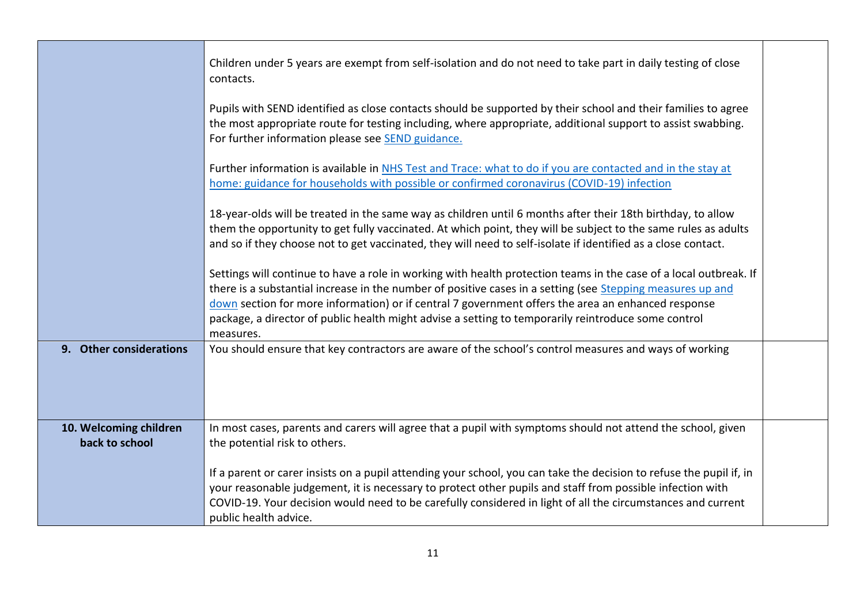|                                          | Children under 5 years are exempt from self-isolation and do not need to take part in daily testing of close<br>contacts.                                                                                                                                                                                                                                                                                                                                 |  |
|------------------------------------------|-----------------------------------------------------------------------------------------------------------------------------------------------------------------------------------------------------------------------------------------------------------------------------------------------------------------------------------------------------------------------------------------------------------------------------------------------------------|--|
|                                          | Pupils with SEND identified as close contacts should be supported by their school and their families to agree<br>the most appropriate route for testing including, where appropriate, additional support to assist swabbing.<br>For further information please see SEND guidance.                                                                                                                                                                         |  |
|                                          | Further information is available in NHS Test and Trace: what to do if you are contacted and in the stay at<br>home: guidance for households with possible or confirmed coronavirus (COVID-19) infection                                                                                                                                                                                                                                                   |  |
|                                          | 18-year-olds will be treated in the same way as children until 6 months after their 18th birthday, to allow<br>them the opportunity to get fully vaccinated. At which point, they will be subject to the same rules as adults<br>and so if they choose not to get vaccinated, they will need to self-isolate if identified as a close contact.                                                                                                            |  |
|                                          | Settings will continue to have a role in working with health protection teams in the case of a local outbreak. If<br>there is a substantial increase in the number of positive cases in a setting (see Stepping measures up and<br>down section for more information) or if central 7 government offers the area an enhanced response<br>package, a director of public health might advise a setting to temporarily reintroduce some control<br>measures. |  |
| 9. Other considerations                  | You should ensure that key contractors are aware of the school's control measures and ways of working                                                                                                                                                                                                                                                                                                                                                     |  |
| 10. Welcoming children<br>back to school | In most cases, parents and carers will agree that a pupil with symptoms should not attend the school, given<br>the potential risk to others.                                                                                                                                                                                                                                                                                                              |  |
|                                          | If a parent or carer insists on a pupil attending your school, you can take the decision to refuse the pupil if, in<br>your reasonable judgement, it is necessary to protect other pupils and staff from possible infection with<br>COVID-19. Your decision would need to be carefully considered in light of all the circumstances and current<br>public health advice.                                                                                  |  |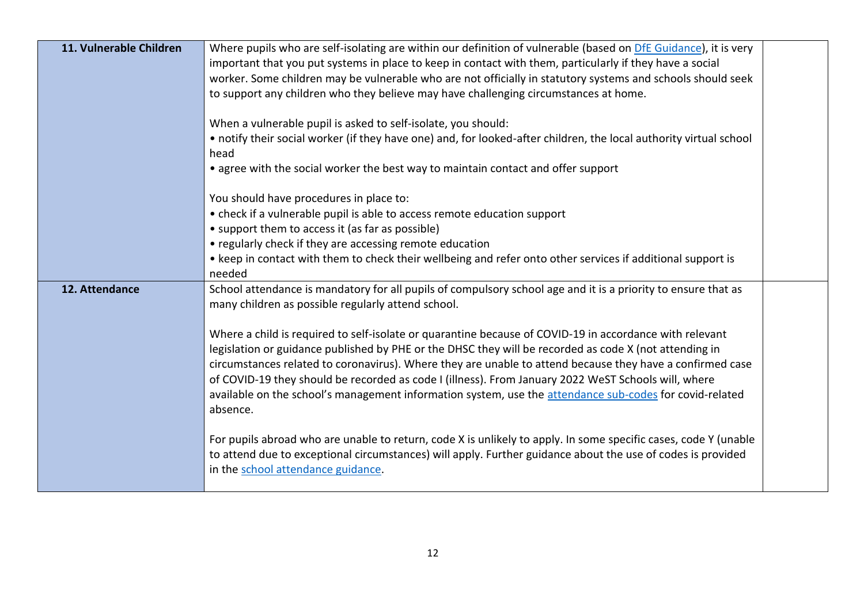| 11. Vulnerable Children | Where pupils who are self-isolating are within our definition of vulnerable (based on DfE Guidance), it is very<br>important that you put systems in place to keep in contact with them, particularly if they have a social<br>worker. Some children may be vulnerable who are not officially in statutory systems and schools should seek<br>to support any children who they believe may have challenging circumstances at home.<br>When a vulnerable pupil is asked to self-isolate, you should:<br>• notify their social worker (if they have one) and, for looked-after children, the local authority virtual school                                                                                                           |  |
|-------------------------|-------------------------------------------------------------------------------------------------------------------------------------------------------------------------------------------------------------------------------------------------------------------------------------------------------------------------------------------------------------------------------------------------------------------------------------------------------------------------------------------------------------------------------------------------------------------------------------------------------------------------------------------------------------------------------------------------------------------------------------|--|
|                         | head<br>• agree with the social worker the best way to maintain contact and offer support                                                                                                                                                                                                                                                                                                                                                                                                                                                                                                                                                                                                                                           |  |
|                         | You should have procedures in place to:<br>• check if a vulnerable pupil is able to access remote education support<br>• support them to access it (as far as possible)<br>• regularly check if they are accessing remote education<br>• keep in contact with them to check their wellbeing and refer onto other services if additional support is<br>needed                                                                                                                                                                                                                                                                                                                                                                        |  |
| 12. Attendance          | School attendance is mandatory for all pupils of compulsory school age and it is a priority to ensure that as<br>many children as possible regularly attend school.<br>Where a child is required to self-isolate or quarantine because of COVID-19 in accordance with relevant<br>legislation or guidance published by PHE or the DHSC they will be recorded as code X (not attending in<br>circumstances related to coronavirus). Where they are unable to attend because they have a confirmed case<br>of COVID-19 they should be recorded as code I (illness). From January 2022 WeST Schools will, where<br>available on the school's management information system, use the attendance sub-codes for covid-related<br>absence. |  |
|                         | For pupils abroad who are unable to return, code X is unlikely to apply. In some specific cases, code Y (unable<br>to attend due to exceptional circumstances) will apply. Further guidance about the use of codes is provided<br>in the school attendance guidance.                                                                                                                                                                                                                                                                                                                                                                                                                                                                |  |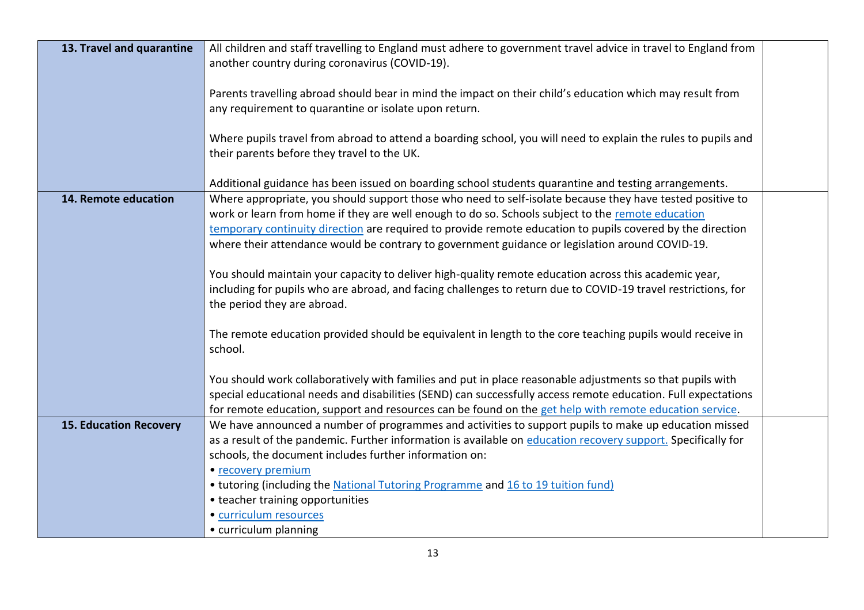| 13. Travel and quarantine     | All children and staff travelling to England must adhere to government travel advice in travel to England from |  |
|-------------------------------|----------------------------------------------------------------------------------------------------------------|--|
|                               | another country during coronavirus (COVID-19).                                                                 |  |
|                               | Parents travelling abroad should bear in mind the impact on their child's education which may result from      |  |
|                               | any requirement to quarantine or isolate upon return.                                                          |  |
|                               |                                                                                                                |  |
|                               | Where pupils travel from abroad to attend a boarding school, you will need to explain the rules to pupils and  |  |
|                               | their parents before they travel to the UK.                                                                    |  |
|                               |                                                                                                                |  |
|                               | Additional guidance has been issued on boarding school students quarantine and testing arrangements.           |  |
| 14. Remote education          | Where appropriate, you should support those who need to self-isolate because they have tested positive to      |  |
|                               | work or learn from home if they are well enough to do so. Schools subject to the remote education              |  |
|                               | temporary continuity direction are required to provide remote education to pupils covered by the direction     |  |
|                               | where their attendance would be contrary to government guidance or legislation around COVID-19.                |  |
|                               | You should maintain your capacity to deliver high-quality remote education across this academic year,          |  |
|                               | including for pupils who are abroad, and facing challenges to return due to COVID-19 travel restrictions, for  |  |
|                               | the period they are abroad.                                                                                    |  |
|                               | The remote education provided should be equivalent in length to the core teaching pupils would receive in      |  |
|                               | school.                                                                                                        |  |
|                               |                                                                                                                |  |
|                               | You should work collaboratively with families and put in place reasonable adjustments so that pupils with      |  |
|                               | special educational needs and disabilities (SEND) can successfully access remote education. Full expectations  |  |
|                               | for remote education, support and resources can be found on the get help with remote education service.        |  |
| <b>15. Education Recovery</b> | We have announced a number of programmes and activities to support pupils to make up education missed          |  |
|                               | as a result of the pandemic. Further information is available on education recovery support. Specifically for  |  |
|                               | schools, the document includes further information on:                                                         |  |
|                               | • recovery premium                                                                                             |  |
|                               | • tutoring (including the National Tutoring Programme and 16 to 19 tuition fund)                               |  |
|                               | • teacher training opportunities                                                                               |  |
|                               | · curriculum resources                                                                                         |  |
|                               | • curriculum planning                                                                                          |  |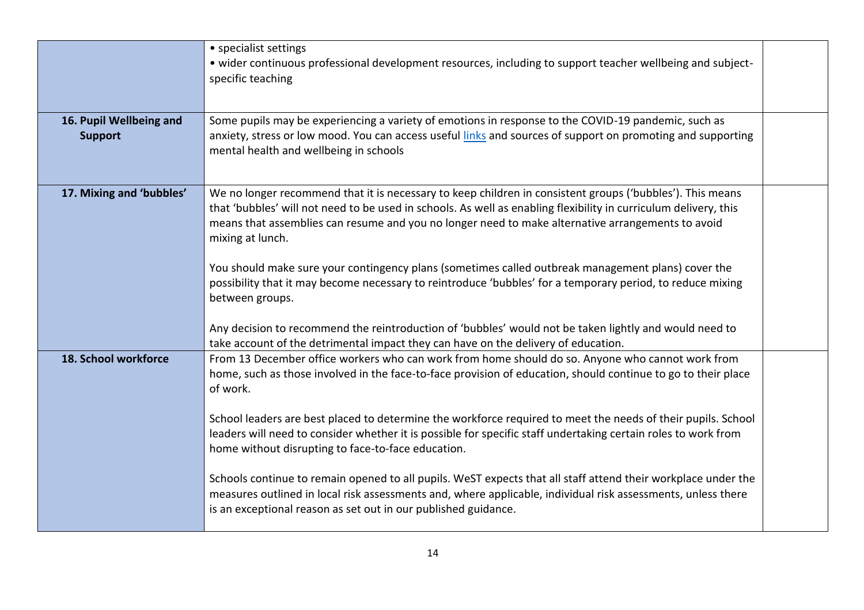|                                           | • specialist settings<br>• wider continuous professional development resources, including to support teacher wellbeing and subject-<br>specific teaching                                                                                                                                                                                                                                                                                                                                                                                                                                                                                                                                                                                                                                                                                                                                                       |  |
|-------------------------------------------|----------------------------------------------------------------------------------------------------------------------------------------------------------------------------------------------------------------------------------------------------------------------------------------------------------------------------------------------------------------------------------------------------------------------------------------------------------------------------------------------------------------------------------------------------------------------------------------------------------------------------------------------------------------------------------------------------------------------------------------------------------------------------------------------------------------------------------------------------------------------------------------------------------------|--|
| 16. Pupil Wellbeing and<br><b>Support</b> | Some pupils may be experiencing a variety of emotions in response to the COVID-19 pandemic, such as<br>anxiety, stress or low mood. You can access useful links and sources of support on promoting and supporting<br>mental health and wellbeing in schools                                                                                                                                                                                                                                                                                                                                                                                                                                                                                                                                                                                                                                                   |  |
| 17. Mixing and 'bubbles'                  | We no longer recommend that it is necessary to keep children in consistent groups ('bubbles'). This means<br>that 'bubbles' will not need to be used in schools. As well as enabling flexibility in curriculum delivery, this<br>means that assemblies can resume and you no longer need to make alternative arrangements to avoid<br>mixing at lunch.<br>You should make sure your contingency plans (sometimes called outbreak management plans) cover the<br>possibility that it may become necessary to reintroduce 'bubbles' for a temporary period, to reduce mixing<br>between groups.<br>Any decision to recommend the reintroduction of 'bubbles' would not be taken lightly and would need to                                                                                                                                                                                                        |  |
| 18. School workforce                      | take account of the detrimental impact they can have on the delivery of education.<br>From 13 December office workers who can work from home should do so. Anyone who cannot work from<br>home, such as those involved in the face-to-face provision of education, should continue to go to their place<br>of work.<br>School leaders are best placed to determine the workforce required to meet the needs of their pupils. School<br>leaders will need to consider whether it is possible for specific staff undertaking certain roles to work from<br>home without disrupting to face-to-face education.<br>Schools continue to remain opened to all pupils. WeST expects that all staff attend their workplace under the<br>measures outlined in local risk assessments and, where applicable, individual risk assessments, unless there<br>is an exceptional reason as set out in our published guidance. |  |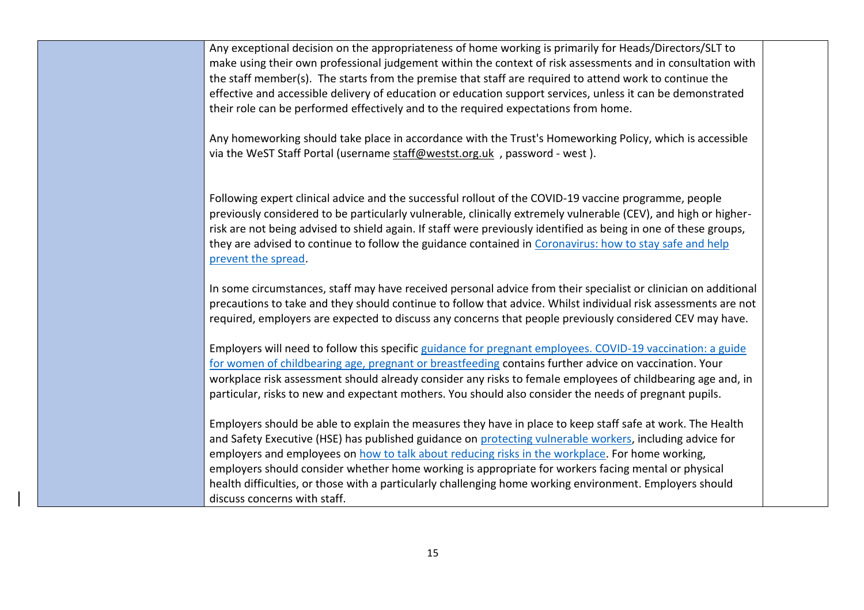Any exceptional decision on the appropriateness of home working is primarily for Heads/Directors/SLT to make using their own professional judgement within the context of risk assessments and in consultation with the staff member(s). The starts from the premise that staff are required to attend work to continue the effective and accessible delivery of education or education support services, unless it can be demonstrated their role can be performed effectively and to the required expectations from home.

Any homeworking should take place in accordance with the Trust's Homeworking Policy, which is accessible via the WeST Staff Portal (username [staff@westst.org.uk](mailto:staff@westst.org.uk) , password - west ).

Following expert clinical advice and the successful rollout of the COVID-19 vaccine programme, people previously considered to be particularly vulnerable, clinically extremely vulnerable (CEV), and high or higherrisk are not being advised to shield again. If staff were previously identified as being in one of these groups, they are advised to continue to follow the guidance contained in [Coronavirus: how to stay safe and help](https://www.gov.uk/guidance/covid-19-coronavirus-restrictions-what-you-can-and-cannot-do)  [prevent the spread.](https://www.gov.uk/guidance/covid-19-coronavirus-restrictions-what-you-can-and-cannot-do)

In some circumstances, staff may have received personal advice from their specialist or clinician on additional precautions to take and they should continue to follow that advice. Whilst individual risk assessments are not required, employers are expected to discuss any concerns that people previously considered CEV may have.

Employers will need to follow this specific [guidance for pregnant employees. COVID-19 vaccination: a guide](https://www.gov.uk/government/publications/coronavirus-covid-19-advice-for-pregnant-employees/coronavirus-covid-19-advice-for-pregnant-employees)  [for women of childbearing age, pregnant or breastfeeding](https://www.gov.uk/government/publications/coronavirus-covid-19-advice-for-pregnant-employees/coronavirus-covid-19-advice-for-pregnant-employees) contains further advice on vaccination. Your workplace risk assessment should already consider any risks to female employees of childbearing age and, in particular, risks to new and expectant mothers. You should also consider the needs of pregnant pupils.

Employers should be able to explain the measures they have in place to keep staff safe at work. The Health and Safety Executive (HSE) has published guidance on [protecting vulnerable workers,](https://www.hse.gov.uk/coronavirus/working-safely/protect-people.htm) including advice for employers and employees on [how to talk about reducing risks in the workplace.](https://www.hse.gov.uk/coronavirus/working-safely/talking-to-your-workers/index.htm) For home working, employers should consider whether home working is appropriate for workers facing mental or physical health difficulties, or those with a particularly challenging home working environment. Employers should discuss concerns with staff.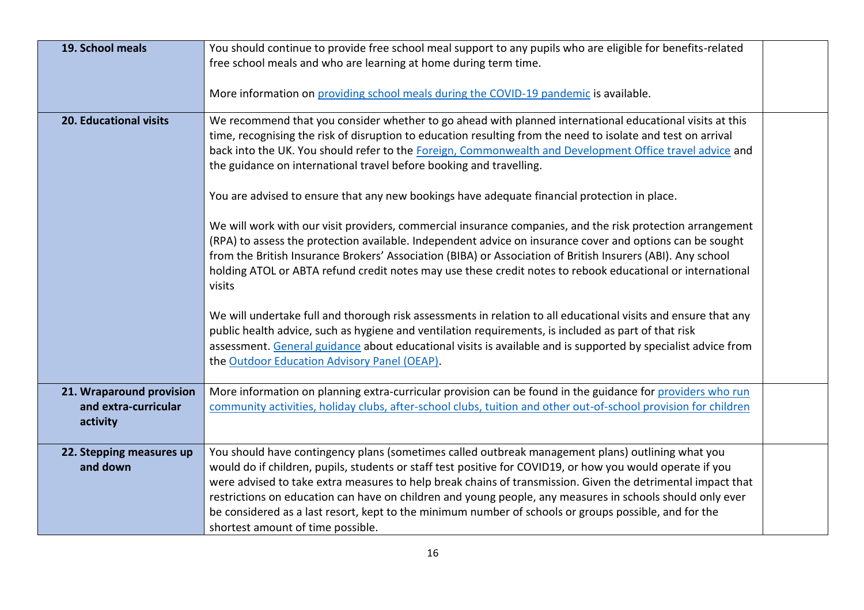| 19. School meals         | You should continue to provide free school meal support to any pupils who are eligible for benefits-related<br>free school meals and who are learning at home during term time.                                                                                                                                                                                                                                                                                |  |
|--------------------------|----------------------------------------------------------------------------------------------------------------------------------------------------------------------------------------------------------------------------------------------------------------------------------------------------------------------------------------------------------------------------------------------------------------------------------------------------------------|--|
|                          | More information on providing school meals during the COVID-19 pandemic is available.                                                                                                                                                                                                                                                                                                                                                                          |  |
| 20. Educational visits   | We recommend that you consider whether to go ahead with planned international educational visits at this<br>time, recognising the risk of disruption to education resulting from the need to isolate and test on arrival<br>back into the UK. You should refer to the Foreign, Commonwealth and Development Office travel advice and<br>the guidance on international travel before booking and travelling.                                                    |  |
|                          | You are advised to ensure that any new bookings have adequate financial protection in place.                                                                                                                                                                                                                                                                                                                                                                   |  |
|                          | We will work with our visit providers, commercial insurance companies, and the risk protection arrangement<br>(RPA) to assess the protection available. Independent advice on insurance cover and options can be sought<br>from the British Insurance Brokers' Association (BIBA) or Association of British Insurers (ABI). Any school<br>holding ATOL or ABTA refund credit notes may use these credit notes to rebook educational or international<br>visits |  |
|                          | We will undertake full and thorough risk assessments in relation to all educational visits and ensure that any<br>public health advice, such as hygiene and ventilation requirements, is included as part of that risk<br>assessment. General guidance about educational visits is available and is supported by specialist advice from<br>the Outdoor Education Advisory Panel (OEAP).                                                                        |  |
| 21. Wraparound provision | More information on planning extra-curricular provision can be found in the guidance for providers who run                                                                                                                                                                                                                                                                                                                                                     |  |
| and extra-curricular     | community activities, holiday clubs, after-school clubs, tuition and other out-of-school provision for children                                                                                                                                                                                                                                                                                                                                                |  |
| activity                 |                                                                                                                                                                                                                                                                                                                                                                                                                                                                |  |
| 22. Stepping measures up | You should have contingency plans (sometimes called outbreak management plans) outlining what you                                                                                                                                                                                                                                                                                                                                                              |  |
| and down                 | would do if children, pupils, students or staff test positive for COVID19, or how you would operate if you                                                                                                                                                                                                                                                                                                                                                     |  |
|                          | were advised to take extra measures to help break chains of transmission. Given the detrimental impact that                                                                                                                                                                                                                                                                                                                                                    |  |
|                          | restrictions on education can have on children and young people, any measures in schools should only ever                                                                                                                                                                                                                                                                                                                                                      |  |
|                          | be considered as a last resort, kept to the minimum number of schools or groups possible, and for the                                                                                                                                                                                                                                                                                                                                                          |  |
|                          | shortest amount of time possible.                                                                                                                                                                                                                                                                                                                                                                                                                              |  |